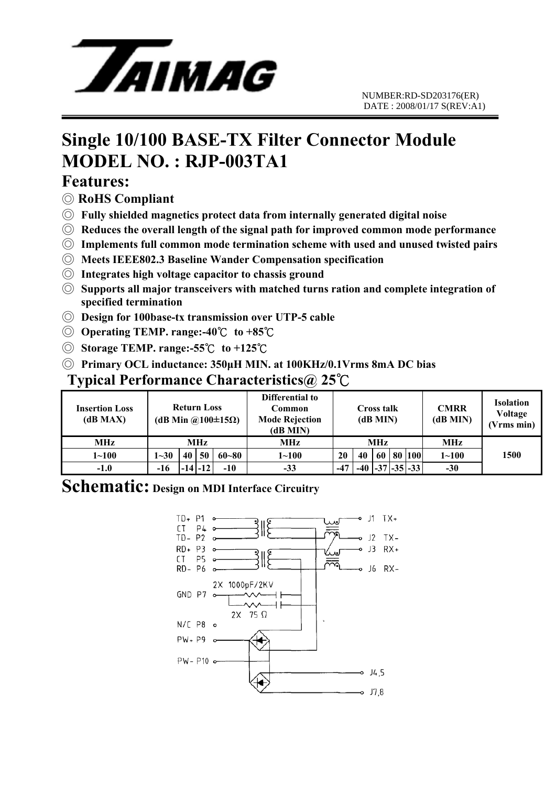

# **Single 10/100 BASE-TX Filter Connector Module MODEL NO. : RJP-003TA1**

#### **Features:**

- ◎ **RoHS Compliant**
- ◎ **Fully shielded magnetics protect data from internally generated digital noise**
- ◎ **Reduces the overall length of the signal path for improved common mode performance**
- ◎ **Implements full common mode termination scheme with used and unused twisted pairs**
- ◎ **Meets IEEE802.3 Baseline Wander Compensation specification**
- ◎ **Integrates high voltage capacitor to chassis ground**
- ◎ **Supports all major transceivers with matched turns ration and complete integration of specified termination**
- ◎ **Design for 100base-tx transmission over UTP-5 cable**
- ◎ **Operating TEMP. range:-40**℃ **to +85**℃
- ◎ **Storage TEMP. range:-55**℃ **to +125**℃
- ◎ **Primary OCL inductance: 350μH MIN. at 100KHz/0.1Vrms 8mA DC bias**

#### **Typical Performance Characteristics@ 25**℃

| <b>Insertion Loss</b><br>(dB MAX) | <b>Return Loss</b><br>(dB Min @100 $\pm$ 15 $\Omega$ ) |    |             |           | Differential to<br><b>Common</b><br><b>Mode Rejection</b><br>(dB MIN) | Cross talk<br>(dB MIN) |    |    |  | <b>CMRR</b><br>(dB MIN) | <b>Isolation</b><br>Voltage<br>(Vrms min) |      |
|-----------------------------------|--------------------------------------------------------|----|-------------|-----------|-----------------------------------------------------------------------|------------------------|----|----|--|-------------------------|-------------------------------------------|------|
| <b>MHz</b>                        | MHz                                                    |    |             |           | MHz                                                                   | MHz                    |    |    |  |                         | MHz                                       |      |
| $1 - 100$                         | $1 - 30$                                               | 40 | 50          | $60 - 80$ | $1 \!\!\sim\!\! 100$                                                  | 20                     | 40 | 60 |  | 80 100                  | $1 - 100$                                 | 1500 |
| $-1.0$                            | -16                                                    |    | $-14$ $-12$ | $-10$     | $-33$                                                                 | $-47$                  |    |    |  | $ -37 -35 -33 $         | $-30$                                     |      |

#### **Schematic: Design on MDI Interface Circuitry**

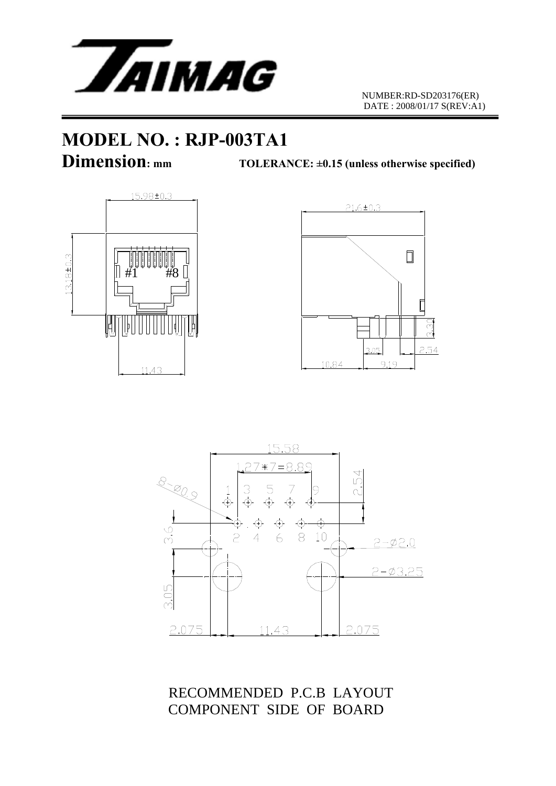

# **MODEL NO. : RJP-003TA1**

**Dimension:** mm TOLERANCE: ±0.15 (unless otherwise specified)







RECOMMENDED P.C.B LAYOUT COMPONENT SIDE OF BOARD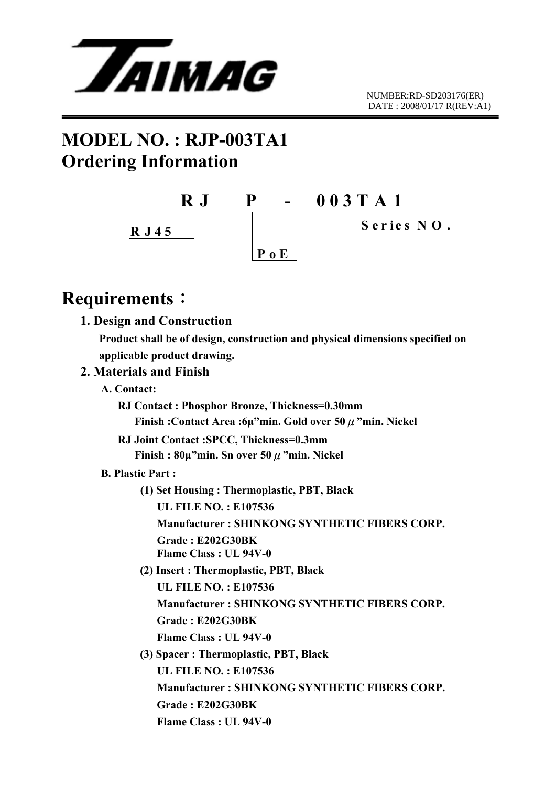

# **MODEL NO. : RJP-003TA1 Ordering Information**



### **Requirements**:

 **1. Design and Construction Product shall be of design, construction and physical dimensions specified on applicable product drawing. 2. Materials and Finish A. Contact: RJ Contact : Phosphor Bronze, Thickness=0.30mm Finish :Contact Area :6μ"min. Gold over 50**μ**"min. Nickel RJ Joint Contact :SPCC, Thickness=0.3mm Finish : 80μ"min. Sn over 50**μ**"min. Nickel B. Plastic Part : (1) Set Housing : Thermoplastic, PBT, Black UL FILE NO. : E107536 Manufacturer : SHINKONG SYNTHETIC FIBERS CORP. Grade : E202G30BK Flame Class : UL 94V-0 (2) Insert : Thermoplastic, PBT, Black UL FILE NO. : E107536 Manufacturer : SHINKONG SYNTHETIC FIBERS CORP. Grade : E202G30BK Flame Class : UL 94V-0 (3) Spacer : Thermoplastic, PBT, Black UL FILE NO. : E107536 Manufacturer : SHINKONG SYNTHETIC FIBERS CORP. Grade : E202G30BK Flame Class : UL 94V-0**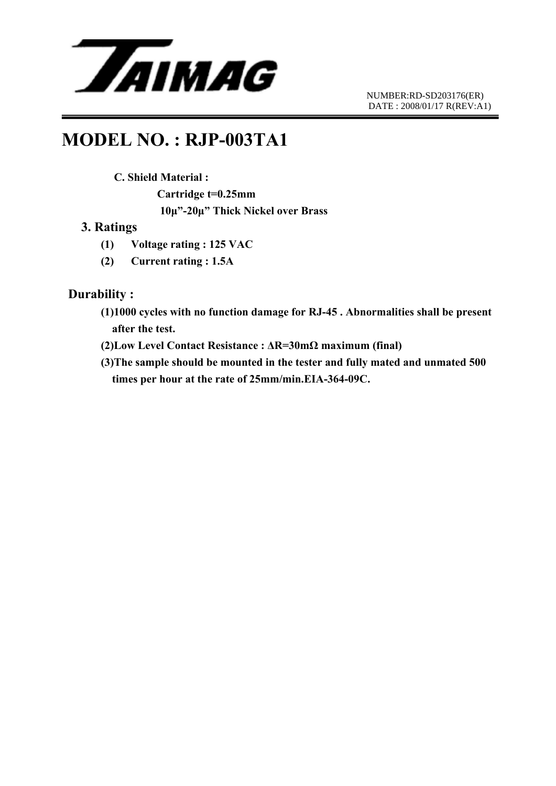

### **MODEL NO. : RJP-003TA1**

#### **C. Shield Material :**

 **Cartridge t=0.25mm 10μ"-20μ" Thick Nickel over Brass** 

#### **3. Ratings**

- **(1) Voltage rating : 125 VAC**
- **(2) Current rating : 1.5A**

#### **Durability :**

- **(1)1000 cycles with no function damage for RJ-45 . Abnormalities shall be present after the test.**
- **(2)Low Level Contact Resistance : ΔR=30mΩ maximum (final)**
- **(3)The sample should be mounted in the tester and fully mated and unmated 500 times per hour at the rate of 25mm/min.EIA-364-09C.**